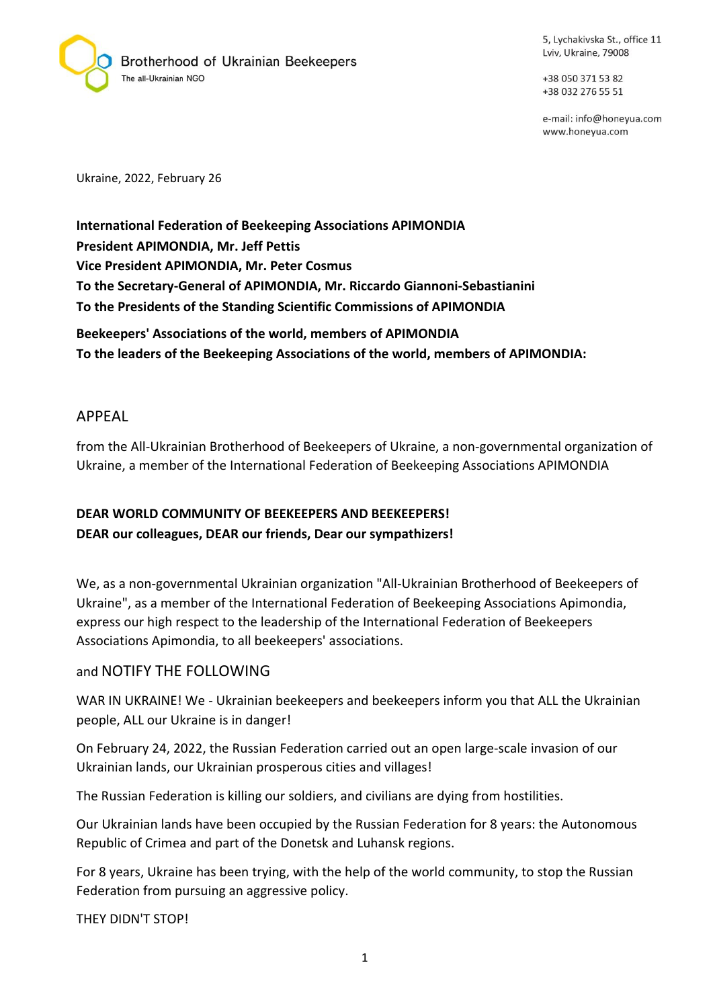

5, Lychakivska St., office 11 Lviv, Ukraine, 79008

+38 050 371 53 82 +38 032 276 55 51

e-mail: info@honeyua.com www.honeyua.com

Ukraine, 2022, February 26

**International Federation of Beekeeping Associations APIMONDIA President APIMONDIA, Mr. Jeff Pettis Vice President APIMONDIA, Mr. Peter Cosmus To the Secretary-General of APIMONDIA, Mr. Riccardo Giannoni-Sebastianini To the Presidents of the Standing Scientific Commissions of APIMONDIA**

**Beekeepers' Associations of the world, members of APIMONDIA To the leaders of the Beekeeping Associations of the world, members of APIMONDIA:**

#### APPEAL

from the All-Ukrainian Brotherhood of Beekeepers of Ukraine, a non-governmental organization of Ukraine, a member of the International Federation of Beekeeping Associations APIMONDIA

# **DEAR WORLD COMMUNITY OF BEEKEEPERS AND BEEKEEPERS! DEAR our colleagues, DEAR our friends, Dear our sympathizers!**

We, as a non-governmental Ukrainian organization "All-Ukrainian Brotherhood of Beekeepers of Ukraine", as a member of the International Federation of Beekeeping Associations Apimondia, express our high respect to the leadership of the International Federation of Beekeepers Associations Apimondia, to all beekeepers' associations.

### and NOTIFY THE FOLLOWING

WAR IN UKRAINE! We - Ukrainian beekeepers and beekeepers inform you that ALL the Ukrainian people, ALL our Ukraine is in danger!

On February 24, 2022, the Russian Federation carried out an open large-scale invasion of our Ukrainian lands, our Ukrainian prosperous cities and villages!

The Russian Federation is killing our soldiers, and civilians are dying from hostilities.

Our Ukrainian lands have been occupied by the Russian Federation for 8 years: the Autonomous Republic of Crimea and part of the Donetsk and Luhansk regions.

For 8 years, Ukraine has been trying, with the help of the world community, to stop the Russian Federation from pursuing an aggressive policy.

THEY DIDN'T STOP!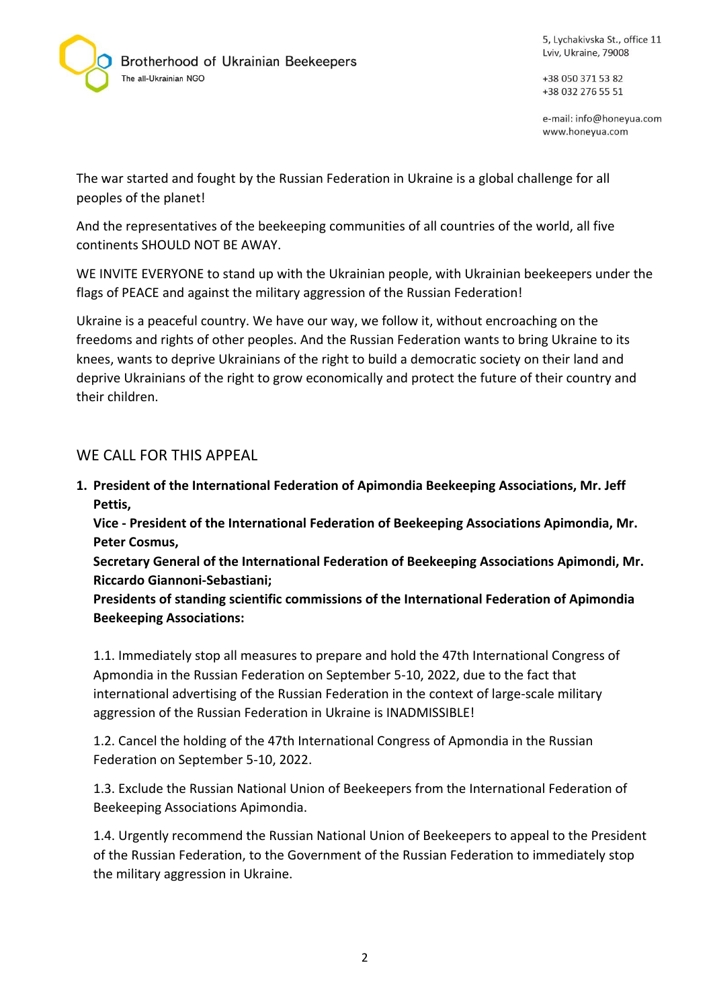

5, Lychakivska St., office 11 Lviv, Ukraine, 79008

+38 050 371 53 82 +38 032 276 55 51

e-mail: info@honeyua.com www.honeyua.com

The war started and fought by the Russian Federation in Ukraine is a global challenge for all peoples of the planet!

And the representatives of the beekeeping communities of all countries of the world, all five continents SHOULD NOT BE AWAY.

WE INVITE EVERYONE to stand up with the Ukrainian people, with Ukrainian beekeepers under the flags of PEACE and against the military aggression of the Russian Federation!

Ukraine is a peaceful country. We have our way, we follow it, without encroaching on the freedoms and rights of other peoples. And the Russian Federation wants to bring Ukraine to its knees, wants to deprive Ukrainians of the right to build a democratic society on their land and deprive Ukrainians of the right to grow economically and protect the future of their country and their children.

## WE CALL FOR THIS APPEAL

**1. President of the International Federation of Apimondia Beekeeping Associations, Mr. Jeff Pettis,**

**Vice - President of the International Federation of Beekeeping Associations Apimondia, Mr. Peter Cosmus,**

**Secretary General of the International Federation of Beekeeping Associations Apimondi, Mr. Riccardo Giannoni-Sebastiani;**

**Presidents of standing scientific commissions of the International Federation of Apimondia Beekeeping Associations:**

1.1. Immediately stop all measures to prepare and hold the 47th International Congress of Apmondia in the Russian Federation on September 5-10, 2022, due to the fact that international advertising of the Russian Federation in the context of large-scale military aggression of the Russian Federation in Ukraine is INADMISSIBLE!

1.2. Cancel the holding of the 47th International Congress of Apmondia in the Russian Federation on September 5-10, 2022.

1.3. Exclude the Russian National Union of Beekeepers from the International Federation of Beekeeping Associations Apimondia.

1.4. Urgently recommend the Russian National Union of Beekeepers to appeal to the President of the Russian Federation, to the Government of the Russian Federation to immediately stop the military aggression in Ukraine.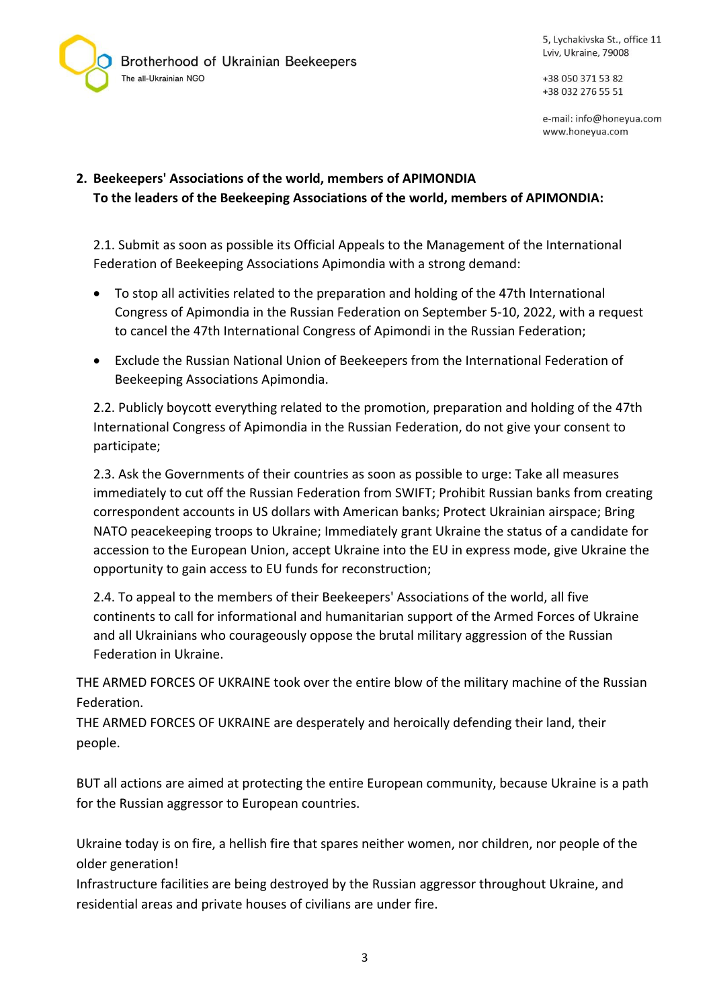Brotherhood of Ukrainian Beekeepers The all-Ukrainian NGO

5, Lychakivska St., office 11 Lviv, Ukraine, 79008

+38 050 371 53 82 +38 032 276 55 51

e-mail: info@honeyua.com www.honeyua.com

### **2. Beekeepers' Associations of the world, members of APIMONDIA To the leaders of the Beekeeping Associations of the world, members of APIMONDIA:**

2.1. Submit as soon as possible its Official Appeals to the Management of the International Federation of Beekeeping Associations Apimondia with a strong demand:

- To stop all activities related to the preparation and holding of the 47th International Congress of Apimondia in the Russian Federation on September 5-10, 2022, with a request to cancel the 47th International Congress of Apimondi in the Russian Federation;
- Exclude the Russian National Union of Beekeepers from the International Federation of Beekeeping Associations Apimondia.

2.2. Publicly boycott everything related to the promotion, preparation and holding of the 47th International Congress of Apimondia in the Russian Federation, do not give your consent to participate;

2.3. Ask the Governments of their countries as soon as possible to urge: Take all measures immediately to cut off the Russian Federation from SWIFT; Prohibit Russian banks from creating correspondent accounts in US dollars with American banks; Protect Ukrainian airspace; Bring NATO peacekeeping troops to Ukraine; Immediately grant Ukraine the status of a candidate for accession to the European Union, accept Ukraine into the EU in express mode, give Ukraine the opportunity to gain access to EU funds for reconstruction;

2.4. To appeal to the members of their Beekeepers' Associations of the world, all five continents to call for informational and humanitarian support of the Armed Forces of Ukraine and all Ukrainians who courageously oppose the brutal military aggression of the Russian Federation in Ukraine.

THE ARMED FORCES OF UKRAINE took over the entire blow of the military machine of the Russian Federation.

THE ARMED FORCES OF UKRAINE are desperately and heroically defending their land, their people.

BUT all actions are aimed at protecting the entire European community, because Ukraine is a path for the Russian aggressor to European countries.

Ukraine today is on fire, a hellish fire that spares neither women, nor children, nor people of the older generation!

Infrastructure facilities are being destroyed by the Russian aggressor throughout Ukraine, and residential areas and private houses of civilians are under fire.